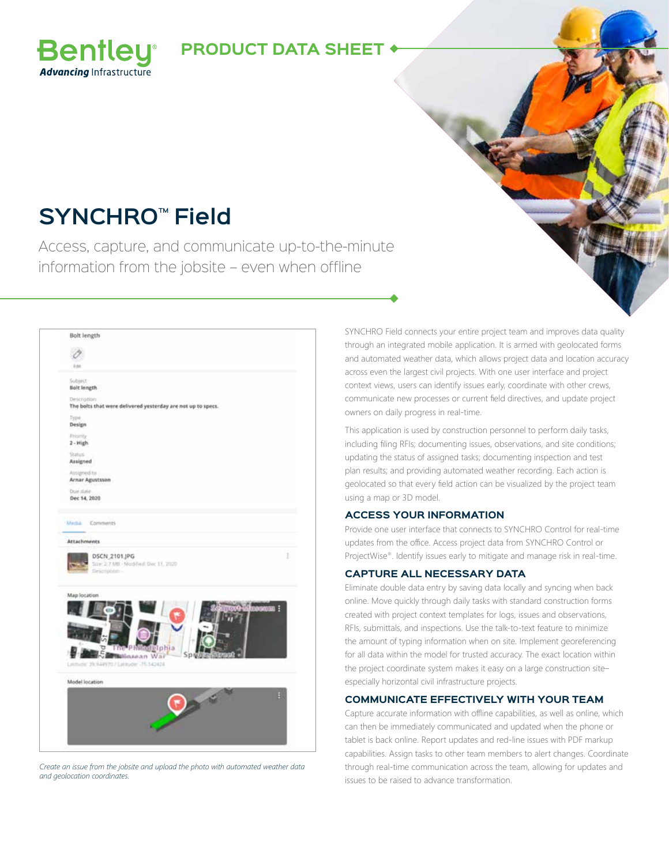### **PRODUCT DATA SHEET**

## **SYNCHRO™ Field**

**Bentley Advancing Infrastructure** 

Access, capture, and communicate up-to-the-minute information from the jobsite – even when offline

| Bolt length                                                                              |   |
|------------------------------------------------------------------------------------------|---|
|                                                                                          |   |
| V-N1                                                                                     |   |
| Subject:<br>Bolt length                                                                  |   |
| Description <sup>1</sup><br>The bolts that were delivered yesterday are not up to specs. |   |
| Type<br>Design                                                                           |   |
| Priority<br>$2 - High$                                                                   |   |
| Status<br>Assigned                                                                       |   |
| Atsigmed to<br>Arnar Agustsson                                                           |   |
| Due date<br>Dec 14, 2020                                                                 |   |
| DSCN 2101 JPG<br>Size: 2.7 MB - Nockheit: Dec 11, 2020<br>Description -                  | İ |
| Map location                                                                             |   |
|                                                                                          |   |
| <b>P.MI</b><br><b>BElphia</b><br>Spring<br><b>Ballinsean War</b>                         |   |
| Littmide: 29.944970 / Latinude: -75.142424                                               |   |
| Model location<br>一                                                                      |   |

*Create an issue from the jobsite and upload the photo with automated weather data and geolocation coordinates.*

SYNCHRO Field connects your entire project team and improves data quality through an integrated mobile application. It is armed with geolocated forms and automated weather data, which allows project data and location accuracy across even the largest civil projects. With one user interface and project context views, users can identify issues early, coordinate with other crews, communicate new processes or current field directives, and update project owners on daily progress in real-time.

This application is used by construction personnel to perform daily tasks, including filing RFIs; documenting issues, observations, and site conditions; updating the status of assigned tasks; documenting inspection and test plan results; and providing automated weather recording. Each action is geolocated so that every field action can be visualized by the project team using a map or 3D model.

### **ACCESS YOUR INFORMATION**

Provide one user interface that connects to SYNCHRO Control for real-time updates from the office. Access project data from SYNCHRO Control or ProjectWise®. Identify issues early to mitigate and manage risk in real-time.

### **CAPTURE ALL NECESSARY DATA**

Eliminate double data entry by saving data locally and syncing when back online. Move quickly through daily tasks with standard construction forms created with project context templates for logs, issues and observations, RFIs, submittals, and inspections. Use the talk-to-text feature to minimize the amount of typing information when on site. Implement georeferencing for all data within the model for trusted accuracy. The exact location within the project coordinate system makes it easy on a large construction site– especially horizontal civil infrastructure projects.

### **COMMUNICATE EFFECTIVELY WITH YOUR TEAM**

Capture accurate information with offline capabilities, as well as online, which can then be immediately communicated and updated when the phone or tablet is back online. Report updates and red-line issues with PDF markup capabilities. Assign tasks to other team members to alert changes. Coordinate through real-time communication across the team, allowing for updates and issues to be raised to advance transformation.